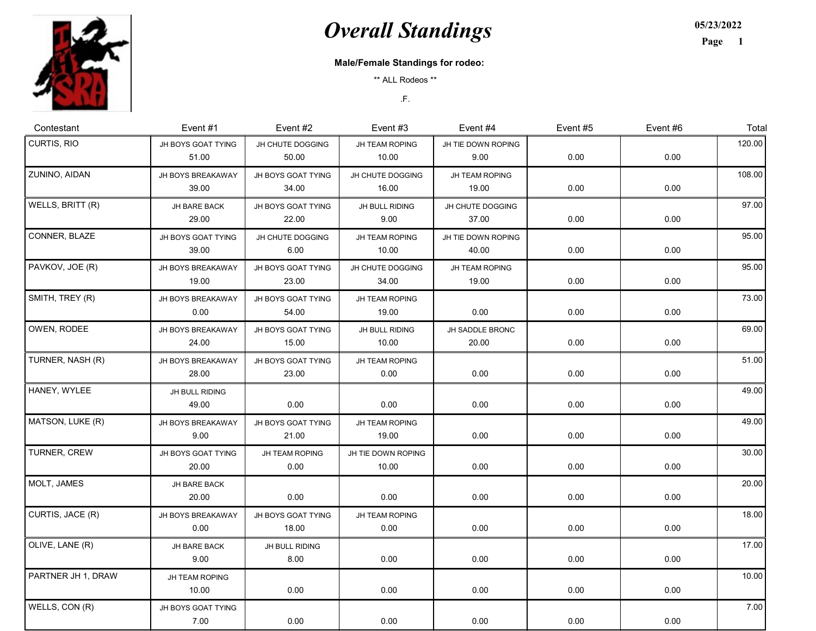

## **Overall Standings**

05/23/2022

Page 1

## Male/Female Standings for rodeo:

\*\* ALL Rodeos \*\*

.F.

| Contestant         | Event #1                    | Event #2                    | Event $#3$                  | Event $#4$                  | Event #5 | Event #6 | Total  |
|--------------------|-----------------------------|-----------------------------|-----------------------------|-----------------------------|----------|----------|--------|
| CURTIS, RIO        | JH BOYS GOAT TYING<br>51.00 | JH CHUTE DOGGING<br>50.00   | JH TEAM ROPING<br>10.00     | JH TIE DOWN ROPING<br>9.00  | 0.00     | 0.00     | 120.00 |
| ZUNINO, AIDAN      | JH BOYS BREAKAWAY<br>39.00  | JH BOYS GOAT TYING<br>34.00 | JH CHUTE DOGGING<br>16.00   | JH TEAM ROPING<br>19.00     | 0.00     | 0.00     | 108.00 |
| WELLS, BRITT (R)   | JH BARE BACK<br>29.00       | JH BOYS GOAT TYING<br>22.00 | JH BULL RIDING<br>9.00      | JH CHUTE DOGGING<br>37.00   | 0.00     | 0.00     | 97.00  |
| CONNER, BLAZE      | JH BOYS GOAT TYING<br>39.00 | JH CHUTE DOGGING<br>6.00    | JH TEAM ROPING<br>10.00     | JH TIE DOWN ROPING<br>40.00 | 0.00     | 0.00     | 95.00  |
| PAVKOV, JOE (R)    | JH BOYS BREAKAWAY<br>19.00  | JH BOYS GOAT TYING<br>23.00 | JH CHUTE DOGGING<br>34.00   | JH TEAM ROPING<br>19.00     | 0.00     | 0.00     | 95.00  |
| SMITH, TREY (R)    | JH BOYS BREAKAWAY<br>0.00   | JH BOYS GOAT TYING<br>54.00 | JH TEAM ROPING<br>19.00     | 0.00                        | 0.00     | 0.00     | 73.00  |
| OWEN, RODEE        | JH BOYS BREAKAWAY<br>24.00  | JH BOYS GOAT TYING<br>15.00 | JH BULL RIDING<br>10.00     | JH SADDLE BRONC<br>20.00    | 0.00     | 0.00     | 69.00  |
| TURNER, NASH (R)   | JH BOYS BREAKAWAY<br>28.00  | JH BOYS GOAT TYING<br>23.00 | JH TEAM ROPING<br>0.00      | 0.00                        | 0.00     | 0.00     | 51.00  |
| HANEY, WYLEE       | JH BULL RIDING<br>49.00     | 0.00                        | 0.00                        | 0.00                        | 0.00     | 0.00     | 49.00  |
| MATSON, LUKE (R)   | JH BOYS BREAKAWAY<br>9.00   | JH BOYS GOAT TYING<br>21.00 | JH TEAM ROPING<br>19.00     | 0.00                        | 0.00     | 0.00     | 49.00  |
| TURNER, CREW       | JH BOYS GOAT TYING<br>20.00 | JH TEAM ROPING<br>0.00      | JH TIE DOWN ROPING<br>10.00 | 0.00                        | 0.00     | 0.00     | 30.00  |
| MOLT, JAMES        | JH BARE BACK<br>20.00       | 0.00                        | 0.00                        | 0.00                        | 0.00     | 0.00     | 20.00  |
| CURTIS, JACE (R)   | JH BOYS BREAKAWAY<br>0.00   | JH BOYS GOAT TYING<br>18.00 | JH TEAM ROPING<br>0.00      | 0.00                        | 0.00     | 0.00     | 18.00  |
| OLIVE, LANE (R)    | JH BARE BACK<br>9.00        | JH BULL RIDING<br>8.00      | 0.00                        | 0.00                        | 0.00     | 0.00     | 17.00  |
| PARTNER JH 1, DRAW | JH TEAM ROPING<br>10.00     | 0.00                        | 0.00                        | 0.00                        | 0.00     | 0.00     | 10.00  |
| WELLS, CON (R)     | JH BOYS GOAT TYING<br>7.00  | 0.00                        | 0.00                        | 0.00                        | 0.00     | 0.00     | 7.00   |